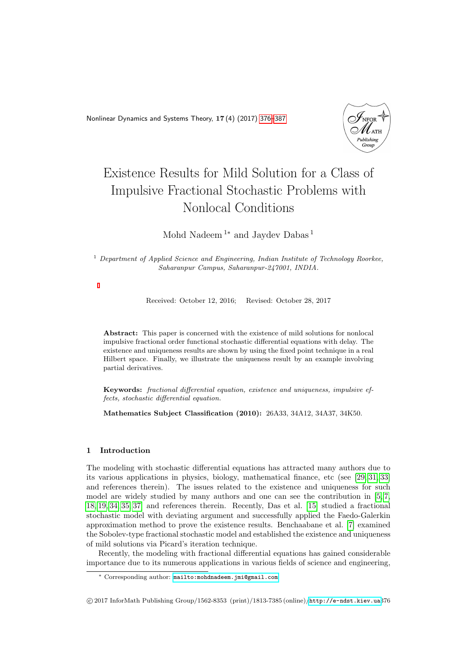<span id="page-0-0"></span>Nonlinear Dynamics and Systems Theory, 17 (4) (2017) [376–](#page-0-0)[387](#page-9-0)



# Existence Results for Mild Solution for a Class of Impulsive Fractional Stochastic Problems with Nonlocal Conditions

Mohd Nadeem  $^{1\ast}$  and Jaydev Dabas  $^1$ 

 $1$  Department of Applied Science and Engineering, Indian Institute of Technology Roorkee, Saharanpur Campus, Saharanpur-247001, INDIA.

Received: October 12, 2016; Revised: October 28, 2017

Abstract: This paper is concerned with the existence of mild solutions for nonlocal impulsive fractional order functional stochastic differential equations with delay. The existence and uniqueness results are shown by using the fixed point technique in a real Hilbert space. Finally, we illustrate the uniqueness result by an example involving partial derivatives.

Keywords: fractional differential equation, existence and uniqueness, impulsive effects, stochastic differential equation.

Mathematics Subject Classification (2010): 26A33, 34A12, 34A37, 34K50.

# 1 Introduction

The modeling with stochastic differential equations has attracted many authors due to its various applications in physics, biology, mathematical finance, etc (see [\[29,](#page-11-0) [31,](#page-11-1) [33\]](#page-11-2) and references therein). The issues related to the existence and uniqueness for such model are widely studied by many authors and one can see the contribution in [\[5,](#page-10-0) [7,](#page-10-1) [18,](#page-10-2) [19,](#page-10-3) [34,](#page-11-3) [35,](#page-11-4) [37\]](#page-11-5) and references therein. Recently, Das et al. [\[15\]](#page-10-4) studied a fractional stochastic model with deviating argument and successfully applied the Faedo-Galerkin approximation method to prove the existence results. Benchaabane et al. [\[7\]](#page-10-1) examined the Sobolev-type fractional stochastic model and established the existence and uniqueness of mild solutions via Picard's iteration technique.

Recently, the modeling with fractional differential equations has gained considerable importance due to its numerous applications in various fields of science and engineering,

<sup>∗</sup> Corresponding author: [mailto:mohdnadeem.jmi@gmail.com](mailto: mohdnadeem.jmi@gmail.com)

c 2017 InforMath Publishing Group/1562-8353 (print)/1813-7385 (online)/<http://e-ndst.kiev.ua>376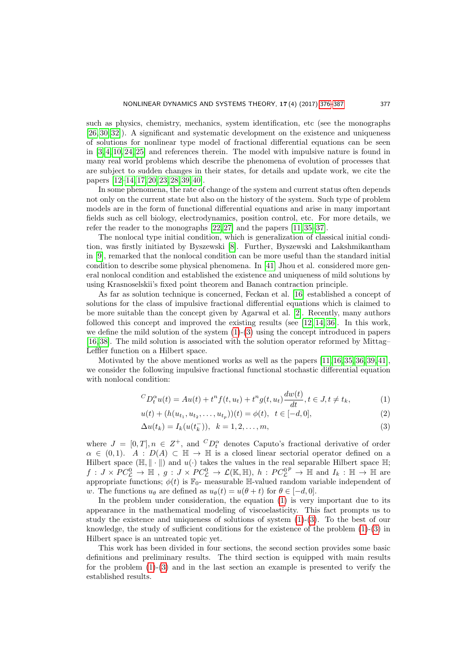such as physics, chemistry, mechanics, system identification, etc (see the monographs [\[26,](#page-11-6) [30,](#page-11-7) [32\]](#page-11-8)). A significant and systematic development on the existence and uniqueness of solutions for nonlinear type model of fractional differential equations can be seen in [\[3,](#page-9-1) [4,](#page-9-2) [10,](#page-10-5) [24,](#page-11-9) [25\]](#page-11-10) and references therein. The model with impulsive nature is found in many real world problems which describe the phenomena of evolution of processes that are subject to sudden changes in their states, for details and update work, we cite the papers [\[12](#page-10-6)[–14,](#page-10-7) [17,](#page-10-8) [20,](#page-10-9) [23,](#page-11-11) [28,](#page-11-12) [39,](#page-11-13) [40\]](#page-11-14).

In some phenomena, the rate of change of the system and current status often depends not only on the current state but also on the history of the system. Such type of problem models are in the form of functional differential equations and arise in many important fields such as cell biology, electrodynamics, position control, etc. For more details, we refer the reader to the monographs [\[22,](#page-11-15) [27\]](#page-11-16) and the papers [\[11,](#page-10-10) [35–](#page-11-4)[37\]](#page-11-5).

The nonlocal type initial condition, which is generalization of classical initial condition, was firstly initiated by Byszewski [\[8\]](#page-10-11). Further, Byszewski and Lakshmikantham in [\[9\]](#page-10-12), remarked that the nonlocal condition can be more useful than the standard initial condition to describe some physical phenomena. In [\[41\]](#page-11-17) Jhou et al. considered more general nonlocal condition and established the existence and uniqueness of mild solutions by using Krasnoselskii's fixed point theorem and Banach contraction principle.

As far as solution technique is concerned, Feckan et al. [\[16\]](#page-10-13) established a concept of solutions for the class of impulsive fractional differential equations which is claimed to be more suitable than the concept given by Agarwal et al. [\[2\]](#page-9-3). Recently, many authors followed this concept and improved the existing results (see [\[12,](#page-10-6) [14,](#page-10-7) [36\]](#page-11-18). In this work, we define the mild solution of the system  $(1)-(3)$  $(1)-(3)$  using the concept introduced in papers [\[16,](#page-10-13) [38\]](#page-11-19). The mild solution is associated with the solution operator reformed by Mittag– Leffler function on a Hilbert space.

Motivated by the above mentioned works as well as the papers [\[11,](#page-10-10) [16,](#page-10-13) [35,](#page-11-4) [36,](#page-11-18) [39,](#page-11-13) [41\]](#page-11-17), we consider the following impulsive fractional functional stochastic differential equation with nonlocal condition:

<span id="page-1-0"></span>
$$
{}^{C}D_{t}^{\alpha}u(t) = Au(t) + t^{n} f(t, u_{t}) + t^{n} g(t, u_{t}) \frac{dw(t)}{dt}, t \in J, t \neq t_{k},
$$
\n(1)

$$
u(t) + (h(u_{t_1}, u_{t_2}, \dots, u_{t_p}))(t) = \phi(t), \quad t \in [-d, 0],
$$
\n(2)

$$
\Delta u(t_k) = I_k(u(t_k^-)), \ \ k = 1, 2, \dots, m,
$$
\n(3)

where  $J = [0, T], n \in Z^+$ , and  ${}^C D_t^{\alpha}$  denotes Caputo's fractional derivative of order  $\alpha \in (0,1)$ .  $A : D(A) \subset \mathbb{H} \to \mathbb{H}$  is a closed linear sectorial operator defined on a Hilbert space  $(\mathbb{H}, \|\cdot\|)$  and  $u(\cdot)$  takes the values in the real separable Hilbert space  $\mathbb{H}$ ;  $f: J \times PC^0_{\mathcal{L}} \rightarrow \mathbb{H}$ ,  $g: J \times PC^0_{\mathcal{L}} \rightarrow \mathcal{L}(\mathbb{K}, \mathbb{H}), h: PC^0_{\mathcal{L}}^p \rightarrow \mathbb{H}$  and  $I_k: \mathbb{H} \rightarrow \mathbb{H}$  are appropriate functions;  $\phi(t)$  is  $\mathbb{F}_0$ - measurable H-valued random variable independent of w. The functions  $u_{\theta}$  are defined as  $u_{\theta}(t) = u(\theta + t)$  for  $\theta \in [-d, 0]$ .

In the problem under consideration, the equation [\(1\)](#page-1-0) is very important due to its appearance in the mathematical modeling of viscoelasticity. This fact prompts us to study the existence and uniqueness of solutions of system [\(1\)](#page-1-0)-[\(3\)](#page-1-0). To the best of our knowledge, the study of sufficient conditions for the existence of the problem  $(1)-(3)$  $(1)-(3)$  in Hilbert space is an untreated topic yet.

This work has been divided in four sections, the second section provides some basic definitions and preliminary results. The third section is equipped with main results for the problem  $(1)-(3)$  $(1)-(3)$  and in the last section an example is presented to verify the established results.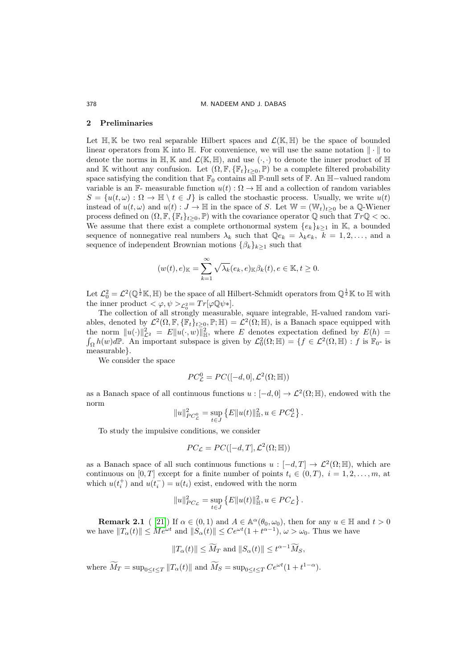#### 2 Preliminaries

Let  $\mathbb{H}, \mathbb{K}$  be two real separable Hilbert spaces and  $\mathcal{L}(\mathbb{K}, \mathbb{H})$  be the space of bounded linear operators from K into H. For convenience, we will use the same notation  $\|\cdot\|$  to denote the norms in  $\mathbb{H}, \mathbb{K}$  and  $\mathcal{L}(\mathbb{K}, \mathbb{H})$ , and use  $(\cdot, \cdot)$  to denote the inner product of  $\mathbb{H}$ and K without any confusion. Let  $(\Omega, \mathbb{F}, \{\mathbb{F}_t\}_{t>0}, \mathbb{P})$  be a complete filtered probability space satisfying the condition that  $\mathbb{F}_0$  contains all P-null sets of F. An H-valued random variable is an  $\mathbb{F}$ - measurable function  $u(t): \Omega \to \mathbb{H}$  and a collection of random variables  $S = \{u(t, \omega): \Omega \to \mathbb{H} \setminus t \in J\}$  is called the stochastic process. Usually, we write  $u(t)$ instead of  $u(t, \omega)$  and  $u(t) : J \to \mathbb{H}$  in the space of S. Let  $\mathbb{W} = (\mathbb{W}_t)_{t>0}$  be a Q-Wiener process defined on  $(\Omega, \mathbb{F}, {\mathbb{F}_t}_{t\geq 0}, \mathbb{P})$  with the covariance operator  $\mathbb{Q}$  such that  $Tr\mathbb{Q} < \infty$ . We assume that there exist a complete orthonormal system  ${e_k}_{k>1}$  in K, a bounded sequence of nonnegative real numbers  $\lambda_k$  such that  $\mathbb{Q}e_k = \lambda_k e_k$ ,  $k = 1, 2, \ldots$ , and a sequence of independent Brownian motions  $\{\beta_k\}_{k\geq 1}$  such that

$$
(w(t), e)_{\mathbb{K}} = \sum_{k=1}^{\infty} \sqrt{\lambda_k}(e_k, e)_{\mathbb{K}} \beta_k(t), e \in \mathbb{K}, t \ge 0.
$$

Let  $\mathcal{L}_0^2 = \mathcal{L}^2(\mathbb{Q}^{\frac{1}{2}}\mathbb{K}, \mathbb{H})$  be the space of all Hilbert-Schmidt operators from  $\mathbb{Q}^{\frac{1}{2}}\mathbb{K}$  to  $\mathbb H$  with the inner product  $<\varphi, \psi>_{\mathcal{L}_{0}^{2}}=Tr[\varphi \mathbb{Q}\psi*].$ 

The collection of all strongly measurable, square integrable,  $\mathbb{H}$ -valued random variables, denoted by  $\mathcal{L}^2(\Omega, \mathbb{F}, {\mathbb{F}_t}_{t\geq 0}, \mathbb{P}; \mathbb{H}) = \mathcal{L}^2(\Omega; \mathbb{H})$ , is a Banach space equipped with the norm  $||u(\cdot)||^2_{\mathcal{L}^2} = E||u(\cdot, w)||^2_{\mathbb{H}}$ , where E denotes expectation defined by  $E(h) =$  $\int_{\Omega} h(w) d\mathbb{P}$ . An important subspace is given by  $\mathcal{L}_0^2(\Omega;\mathbb{H}) = \{f \in \mathcal{L}^2(\Omega,\mathbb{H}) : f \text{ is } \mathbb{F}_0\}$  is measurable}.

We consider the space

$$
PC_{\mathcal{L}}^0 = PC([-d, 0], \mathcal{L}^2(\Omega; \mathbb{H}))
$$

as a Banach space of all continuous functions  $u: [-d, 0] \to \mathcal{L}^2(\Omega; \mathbb{H})$ , endowed with the norm

$$
||u||_{PC_{\mathcal{L}}^0}^2 = \sup_{t \in J} \{ E||u(t)||_{\mathbb{H}}^2, u \in PC_{\mathcal{L}}^0 \}.
$$

To study the impulsive conditions, we consider

$$
PC_{\mathcal{L}} = PC([-d, T], \mathcal{L}^2(\Omega; \mathbb{H}))
$$

as a Banach space of all such continuous functions  $u: [-d, T] \to \mathcal{L}^2(\Omega; \mathbb{H})$ , which are continuous on [0, T] except for a finite number of points  $t_i \in (0,T)$ ,  $i = 1, 2, \ldots, m$ , at which  $u(t_i^+)$  and  $u(t_i^-) = u(t_i)$  exist, endowed with the norm

$$
||u||_{PC_{\mathcal{L}}}^2 = \sup_{t \in J} \{ E||u(t)||_{\mathbb{H}}^2, u \in PC_{\mathcal{L}} \}.
$$

**Remark 2.1** ([21]) If  $\alpha \in (0,1)$  and  $A \in \mathbb{A}^{\alpha}(\theta_0, \omega_0)$ , then for any  $u \in \mathbb{H}$  and  $t > 0$ we have  $||T_\alpha(t)|| \le Me^{\omega t}$  and  $||S_\alpha(t)|| \le Ce^{\omega t}(1+t^{\alpha-1}), \omega > \omega_0$ . Thus we have

$$
||T_{\alpha}(t)|| \leq \widetilde{M}_T
$$
 and  $||S_{\alpha}(t)|| \leq t^{\alpha-1} \widetilde{M}_S$ ,

where  $\overline{M}_T = \sup_{0 \le t \le T} ||T_\alpha(t)||$  and  $\overline{M}_S = \sup_{0 \le t \le T} Ce^{\omega t} (1 + t^{1-\alpha}).$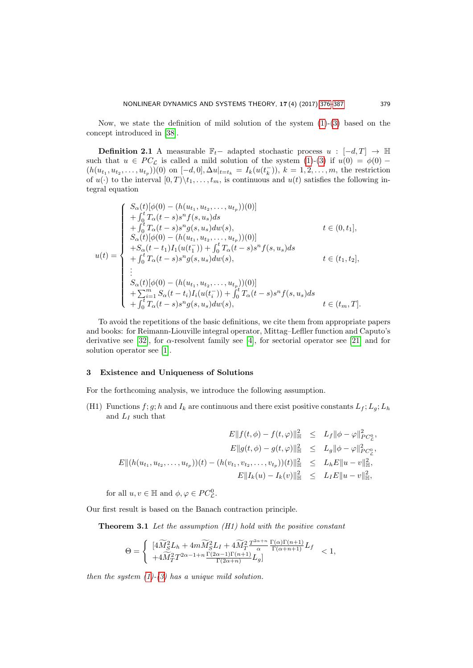Now, we state the definition of mild solution of the system  $(1)-(3)$  $(1)-(3)$  based on the concept introduced in [\[38\]](#page-11-19).

**Definition 2.1** A measurable  $\mathbb{F}_t$  – adapted stochastic process  $u : [-d, T] \rightarrow \mathbb{H}$ such that  $u \in PC_{\mathcal{L}}$  is called a mild solution of the system [\(1\)](#page-1-0)-[\(3\)](#page-1-0) if  $u(0) = \phi(0)$  –  $(h(u_{t_1}, u_{t_2},..., u_{t_p}))(0)$  on  $[-d, 0], \Delta u|_{t=t_k} = I_k(u(t_k^{-})), k = 1, 2,..., m$ , the restriction of  $u(\cdot)$  to the interval  $[0, T) \setminus t_1, \ldots, t_m$ , is continuous and  $u(t)$  satisfies the following integral equation

$$
u(t) = \begin{cases} S_{\alpha}(t)[\phi(0) - (h(u_{t_1}, u_{t_2},..., u_{t_p}))(0)] \\ + \int_0^t T_{\alpha}(t-s)s^n f(s, u_s) ds \\ + \int_0^t T_{\alpha}(t-s)s^n g(s, u_s) dw(s), & t \in (0, t_1], \\ S_{\alpha}(t)[\phi(0) - (h(u_{t_1}, u_{t_2},..., u_{t_p}))(0)] \\ + S_{\alpha}(t-t_1) I_1(u(t_1^-)) + \int_0^t T_{\alpha}(t-s)s^n f(s, u_s) ds \\ + \int_0^t T_{\alpha}(t-s)s^n g(s, u_s) dw(s), & t \in (t_1, t_2], \\ \vdots \\ S_{\alpha}(t)[\phi(0) - (h(u_{t_1}, u_{t_2},..., u_{t_p}))(0)] \\ + \sum_{i=1}^m S_{\alpha}(t-t_i) I_i(u(t_i^-)) + \int_0^t T_{\alpha}(t-s)s^n f(s, u_s) ds \\ + \int_0^t T_{\alpha}(t-s)s^n g(s, u_s) dw(s), & t \in (t_m, T]. \end{cases}
$$

To avoid the repetitions of the basic definitions, we cite them from appropriate papers and books: for Reimann-Liouville integral operator, Mittag–Lefller function and Caputo's derivative see [\[32\]](#page-11-8), for  $\alpha$ -resolvent family see [\[4\]](#page-9-2), for sectorial operator see [\[21\]](#page-10-14) and for solution operator see [\[1\]](#page-9-4).

## 3 Existence and Uniqueness of Solutions

For the forthcoming analysis, we introduce the following assumption.

(H1) Functions  $f; g; h$  and  $I_k$  are continuous and there exist positive constants  $L_f; L_g; L_h$ and  $L_I$  such that

$$
E||f(t, \phi) - f(t, \phi)||_{\mathbb{H}}^{2} \leq L_{f}||\phi - \phi||_{PC_{L}^{0}}^{2},
$$
  
\n
$$
E||g(t, \phi) - g(t, \phi)||_{\mathbb{H}}^{2} \leq L_{g}||\phi - \phi||_{PC_{L}^{0}}^{2},
$$
  
\n
$$
E||(h(u_{t_{1}}, u_{t_{2}}, \dots, u_{t_{p}}))(t) - (h(v_{t_{1}}, v_{t_{2}}, \dots, v_{t_{p}}))(t)||_{\mathbb{H}}^{2} \leq L_{h}E||u - v||_{\mathbb{H}}^{2},
$$
  
\n
$$
E||I_{k}(u) - I_{k}(v)||_{\mathbb{H}}^{2} \leq L_{I}E||u - v||_{\mathbb{H}}^{2},
$$

for all  $u, v \in \mathbb{H}$  and  $\phi, \varphi \in PC^0_{\mathcal{L}}$ .

Our first result is based on the Banach contraction principle.

**Theorem 3.1** Let the assumption  $(H1)$  hold with the positive constant

$$
\Theta=\left\{\begin{array}{ll} [4\widetilde{M}_{S}^{2}L_{h}+4m\widetilde{M}_{S}^{2}L_{I}+4\widetilde{M}_{T}^{2}\frac{T^{2\alpha+n}}{\alpha}\frac{\Gamma(\alpha)\Gamma(n+1)}{\Gamma(\alpha+n+1)}L_{f}\\ +4\widetilde{M}_{T}^{2}T^{2\alpha-1+n}\frac{\Gamma(2\alpha-1)\Gamma(n+1)}{\Gamma(2\alpha+n)}L_{g}] \end{array}\right. <1,
$$

then the system  $(1)-(3)$  $(1)-(3)$  $(1)-(3)$  has a unique mild solution.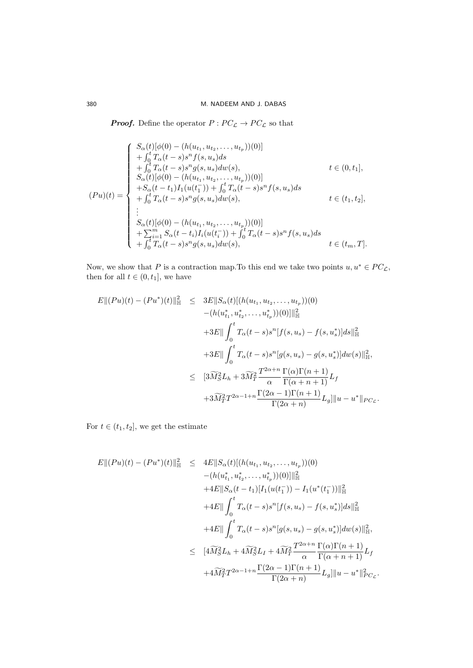**Proof.** Define the operator  $P: PC_{\mathcal{L}} \rightarrow PC_{\mathcal{L}}$  so that

$$
(Pu)(t) = \begin{cases} S_{\alpha}(t)[\phi(0) - (h(u_{t_1}, u_{t_2},..., u_{t_p}))(0)] \\ + \int_0^t T_{\alpha}(t-s)s^n f(s, u_s) ds \\ + \int_0^t T_{\alpha}(t-s)s^n g(s, u_s) dw(s), & t \in (0, t_1], \\ S_{\alpha}(t)[\phi(0) - (h(u_{t_1}, u_{t_2},..., u_{t_p}))(0)] \\ + S_{\alpha}(t-t_1) I_1(u(t_1^-)) + \int_0^t T_{\alpha}(t-s)s^n f(s, u_s) ds \\ + \int_0^t T_{\alpha}(t-s)s^n g(s, u_s) dw(s), & t \in (t_1, t_2], \\ \vdots \\ S_{\alpha}(t)[\phi(0) - (h(u_{t_1}, u_{t_2},..., u_{t_p}))(0)] \\ + \sum_{i=1}^m S_{\alpha}(t-t_i) I_i(u(t_i^-)) + \int_0^t T_{\alpha}(t-s)s^n f(s, u_s) ds \\ + \int_0^t T_{\alpha}(t-s)s^n g(s, u_s) dw(s), & t \in (t_m, T]. \end{cases}
$$

Now, we show that P is a contraction map. To this end we take two points  $u, u^* \in PC_{\mathcal{L}}$ , then for all  $t \in (0, t_1]$ , we have

$$
E||(Pu)(t) - (Pu^*)(t)||_{\mathbb{H}}^2 \leq 3E||S_{\alpha}(t)[(h(u_{t_1}, u_{t_2},..., u_{t_p}))(0)
$$
  
\n
$$
-(h(u_{t_1}^*, u_{t_2}^*,..., u_{t_p}^*))(0)||_{\mathbb{H}}^2
$$
  
\n
$$
+3E||\int_0^t T_{\alpha}(t-s)s^n[f(s, u_s) - f(s, u_s^*)]ds||_{\mathbb{H}}^2
$$
  
\n
$$
+3E||\int_0^t T_{\alpha}(t-s)s^n[g(s, u_s) - g(s, u_s^*)]dw(s)||_{\mathbb{H}}^2,
$$
  
\n
$$
\leq [3\widetilde{M}_S^2L_h + 3\widetilde{M}_T^2\frac{T^{2\alpha+n}}{\alpha}\frac{\Gamma(\alpha)\Gamma(n+1)}{\Gamma(\alpha+n+1)}L_f
$$
  
\n
$$
+3\widetilde{M}_T^2T^{2\alpha-1+n}\frac{\Gamma(2\alpha-1)\Gamma(n+1)}{\Gamma(2\alpha+n)}L_g]||u - u^*||_{PC_{\mathcal{L}}}.
$$

For  $t \in (t_1, t_2]$ , we get the estimate

$$
E||(Pu)(t) - (Pu^*)(t)||_{\mathbb{H}}^2 \le 4E||S_{\alpha}(t)[(h(u_{t_1}, u_{t_2},..., u_{t_p}))(0)]||_{\mathbb{H}}^2
$$
  
\n
$$
- (h(u_{t_1}^*, u_{t_2}^*,..., u_{t_p}^*)) (0)||_{\mathbb{H}}^2
$$
  
\n
$$
+ 4E||S_{\alpha}(t - t_1)[I_1(u(t_1^-)) - I_1(u^*(t_1^-))||_{\mathbb{H}}^2
$$
  
\n
$$
+ 4E||\int_0^t T_{\alpha}(t - s)s^n[f(s, u_s) - f(s, u_s^*)]ds||_{\mathbb{H}}^2
$$
  
\n
$$
+ 4E||\int_0^t T_{\alpha}(t - s)s^n[g(s, u_s) - g(s, u_s^*)]dw(s)||_{\mathbb{H}}^2,
$$
  
\n
$$
\le [4\widetilde{M}_S^2L_h + 4\widetilde{M}_S^2L_I + 4\widetilde{M}_T^2\frac{T^{2\alpha+n}}{\alpha}\frac{\Gamma(\alpha)\Gamma(n+1)}{\Gamma(\alpha+n+1)}L_f
$$
  
\n
$$
+ 4\widetilde{M}_T^2T^{2\alpha-1+n}\frac{\Gamma(2\alpha-1)\Gamma(n+1)}{\Gamma(2\alpha+n)}L_g||u - u^*||_{PC_L}^2.
$$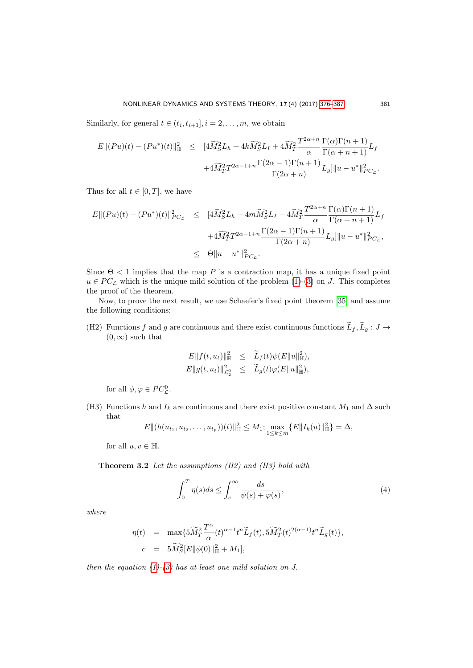Similarly, for general  $t \in (t_i, t_{i+1}], i = 2, \ldots, m$ , we obtain

$$
E||(Pu)(t) - (Pu^*)(t)||_{\mathbb{H}}^2 \leq [4\widetilde{M}_S^2L_h + 4k\widetilde{M}_S^2L_I + 4\widetilde{M}_T^2\frac{T^{2\alpha+n}}{\alpha}\frac{\Gamma(\alpha)\Gamma(n+1)}{\Gamma(\alpha+n+1)}L_f
$$
  

$$
+4\widetilde{M}_T^2T^{2\alpha-1+n}\frac{\Gamma(2\alpha-1)\Gamma(n+1)}{\Gamma(2\alpha+n)}L_g||u-u^*||_{PC_L}^2.
$$

Thus for all  $t \in [0, T]$ , we have

$$
E||(Pu)(t) - (Pu^*)(t)||_{PC_{\mathcal{L}}}^2 \leq [4\widetilde{M}_{S}^{2}L_h + 4m\widetilde{M}_{S}^{2}L_I + 4\widetilde{M}_{T}^{2}\frac{T^{2\alpha+n}}{\alpha}\frac{\Gamma(\alpha)\Gamma(n+1)}{\Gamma(\alpha+n+1)}L_f
$$
  

$$
+4\widetilde{M}_{T}^{2}T^{2\alpha-1+n}\frac{\Gamma(2\alpha-1)\Gamma(n+1)}{\Gamma(2\alpha+n)}L_g||u-u^*||_{PC_{\mathcal{L}}}^2,
$$
  

$$
\leq \Theta||u-u^*||_{PC_{\mathcal{L}}}^2.
$$

Since  $\Theta$  < 1 implies that the map P is a contraction map, it has a unique fixed point  $u \in PC_{\mathcal{L}}$  which is the unique mild solution of the problem [\(1\)](#page-1-0)-[\(3\)](#page-1-0) on J. This completes the proof of the theorem.

Now, to prove the next result, we use Schaefer's fixed point theorem [\[35\]](#page-11-4) and assume the following conditions:

(H2) Functions  $f$  and  $g$  are continuous and there exist continuous functions  $\widetilde{L}_f$ ,  $\widetilde{L}_g$  :  $J \to$  $(0, \infty)$  such that

$$
E||f(t, u_t)||_{\mathbb{H}}^2 \leq \widetilde{L}_f(t)\psi(E||u||_{\mathbb{H}}^2),
$$
  

$$
E||g(t, u_t)||_{\mathcal{L}_2^0}^2 \leq \widetilde{L}_g(t)\varphi(E||u||_{\mathbb{H}}^2),
$$

for all  $\phi, \varphi \in PC^0_{\mathcal{L}}$ .

(H3) Functions h and  $I_k$  are continuous and there exist positive constant  $M_1$  and  $\Delta$  such that

$$
E\|(h(u_{t_1}, u_{t_2}, \ldots, u_{t_p}))(t)\|_{\mathbb{H}}^2 \leq M_1; \max_{1 \leq k \leq m} \{E\|I_k(u)\|_{\mathbb{H}}^2\} = \Delta,
$$

for all  $u, v \in \mathbb{H}$ .

**Theorem 3.2** Let the assumptions  $(H2)$  and  $(H3)$  hold with

<span id="page-5-0"></span>
$$
\int_0^T \eta(s)ds \le \int_c^\infty \frac{ds}{\psi(s) + \varphi(s)},\tag{4}
$$

where

$$
\begin{array}{rcl} \eta(t) & = & \displaystyle \max\{5\widetilde{M}_T^2\frac{T^\alpha}{\alpha}(t)^{\alpha-1}t^n\widetilde{L}_f(t),5\widetilde{M}_T^2(t)^{2(\alpha-1)}t^n\widetilde{L}_g(t)\}, \\[2mm] c & = & 5\widetilde{M}_S^2[E\|\phi(0)\|_{\mathbb{H}}^2+M_1], \end{array}
$$

then the equation  $(1)-(3)$  $(1)-(3)$  $(1)-(3)$  has at least one mild solution on J.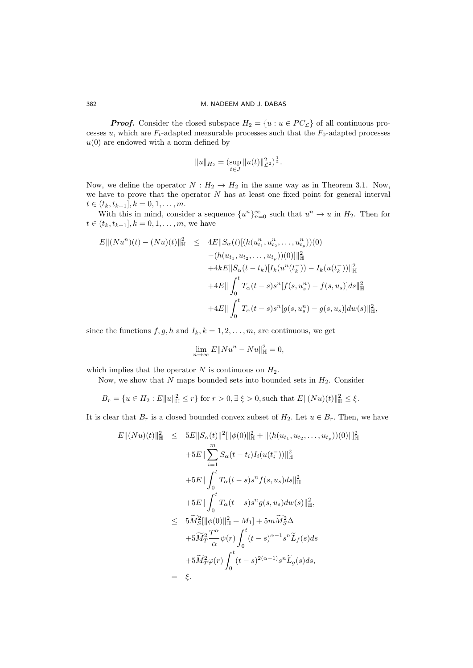**Proof.** Consider the closed subspace  $H_2 = \{u : u \in PC_{\mathcal{L}}\}$  of all continuous processes u, which are  $F_t$ -adapted measurable processes such that the  $F_0$ -adapted processes  $u(0)$  are endowed with a norm defined by

$$
||u||_{H_2} = (\sup_{t \in J} ||u(t)||_{\mathcal{L}^2}^2)^{\frac{1}{2}}.
$$

Now, we define the operator  $N : H_2 \to H_2$  in the same way as in Theorem 3.1. Now, we have to prove that the operator  $N$  has at least one fixed point for general interval  $t \in (t_k, t_{k+1}], k = 0, 1, \ldots, m.$ 

With this in mind, consider a sequence  $\{u^n\}_{n=0}^{\infty}$  such that  $u^n \to u$  in  $H_2$ . Then for  $t \in (t_k, t_{k+1}], k = 0, 1, \ldots, m$ , we have

$$
E\|(Nu^n)(t) - (Nu)(t)\|_{\mathbb{H}}^2 \leq 4E\|S_{\alpha}(t)[(h(u_{t_1}^n, u_{t_2}^n, ..., u_{t_p}^n))(0)
$$
  

$$
- (h(u_{t_1}, u_{t_2}, ..., u_{t_p}))(0)]\|_{\mathbb{H}}^2
$$
  

$$
+ 4kE\|S_{\alpha}(t - t_k)[I_k(u^n(t_k^-)) - I_k(u(t_k^-))\|_{\mathbb{H}}^2
$$
  

$$
+ 4E\|\int_0^t T_{\alpha}(t - s)s^n[f(s, u_s^n) - f(s, u_s)]ds\|_{\mathbb{H}}^2
$$
  

$$
+ 4E\|\int_0^t T_{\alpha}(t - s)s^n[g(s, u_s^n) - g(s, u_s)]dw(s)\|_{\mathbb{H}}^2,
$$

since the functions  $f, g, h$  and  $I_k, k = 1, 2, \ldots, m$ , are continuous, we get

$$
\lim_{n \to \infty} E||Nu^n - Nu||_{\mathbb{H}}^2 = 0,
$$

which implies that the operator  $N$  is continuous on  $H_2$ .

Now, we show that N maps bounded sets into bounded sets in  $H_2$ . Consider

$$
B_r = \{ u \in H_2 : E||u||_{{\mathbb{H}}}^2 \le r \} \text{ for } r > 0, \exists \xi > 0, \text{such that } E||(Nu)(t)||_{{\mathbb{H}}}^2 \le \xi.
$$

It is clear that  $B_r$  is a closed bounded convex subset of  $H_2$ . Let  $u \in B_r$ . Then, we have

$$
E\|(Nu)(t)\|_{\mathbb{H}}^{2} \leq 5E\|S_{\alpha}(t)\|^{2}\|\phi(0)\|_{\mathbb{H}}^{2} + \|(h(u_{t_{1}}, u_{t_{2}},...,u_{t_{p}}))(0)\|_{\mathbb{H}}^{2}
$$
  
+5E\|\sum\_{i=1}^{m} S\_{\alpha}(t-t\_{i})I\_{i}(u(t\_{i}^{-}))\|\_{\mathbb{H}}^{2}  
+5E\|\int\_{0}^{t} T\_{\alpha}(t-s)s^{n}f(s, u\_{s})ds\|\_{\mathbb{H}}^{2}  
+5E\|\int\_{0}^{t} T\_{\alpha}(t-s)s^{n}g(s, u\_{s})dw(s)\|\_{\mathbb{H}}^{2},  

$$
\leq 5\widetilde{M}_{S}^{2}\|\phi(0)\|_{\mathbb{H}}^{2} + M_{1}\| + 5m\widetilde{M}_{S}^{2}\Delta +5\widetilde{M}_{T}^{2}\frac{T^{\alpha}}{\alpha}\psi(r)\int_{0}^{t} (t-s)^{\alpha-1}s^{n}\widetilde{L}_{f}(s)ds+5\widetilde{M}_{T}^{2}\varphi(r)\int_{0}^{t} (t-s)^{2(\alpha-1)}s^{n}\widetilde{L}_{g}(s)ds,= \xi.
$$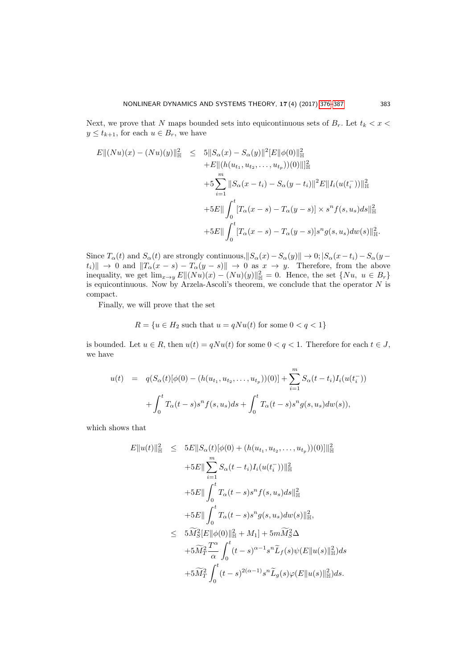Next, we prove that N maps bounded sets into equicontinuous sets of  $B_r$ . Let  $t_k < x <$  $y \le t_{k+1}$ , for each  $u \in B_r$ , we have

$$
E||(Nu)(x) - (Nu)(y)||_{\mathbb{H}}^{2} \leq 5||S_{\alpha}(x) - S_{\alpha}(y)||^{2}[E||\phi(0)||_{\mathbb{H}}^{2}
$$
  
+
$$
E||(h(u_{t_{1}}, u_{t_{2}},..., u_{t_{p}}))(0)||_{\mathbb{H}}^{2}
$$
  
+
$$
5\sum_{i=1}^{m} ||S_{\alpha}(x - t_{i}) - S_{\alpha}(y - t_{i})||^{2}E||I_{i}(u(t_{i}^{-}))||_{\mathbb{H}}^{2}
$$
  
+
$$
5E||\int_{0}^{t}[T_{\alpha}(x - s) - T_{\alpha}(y - s)] \times s^{n}f(s, u_{s})ds||_{\mathbb{H}}^{2}
$$
  
+
$$
5E||\int_{0}^{t}[T_{\alpha}(x - s) - T_{\alpha}(y - s)]s^{n}g(s, u_{s})dw(s)||_{\mathbb{H}}^{2}.
$$

Since  $T_{\alpha}(t)$  and  $S_{\alpha}(t)$  are strongly continuous,  $||S_{\alpha}(x)-S_{\alpha}(y)|| \rightarrow 0$ ;  $|S_{\alpha}(x-t_i)-S_{\alpha}(y$  $t_i$ ||  $\to 0$  and  $||T_\alpha(x - s) - T_\alpha(y - s)|| \to 0$  as  $x \to y$ . Therefore, from the above inequality, we get  $\lim_{x\to y} E||(Nu)(x) - (Nu)(y)||_{\mathbb{H}}^2 = 0$ . Hence, the set  $\{Nu, u \in B_r\}$ is equicontinuous. Now by Arzela-Ascoli's theorem, we conclude that the operator  $N$  is compact.

Finally, we will prove that the set

$$
R = \{u \in H_2 \text{ such that } u = qNu(t) \text{ for some } 0 < q < 1\}
$$

is bounded. Let  $u \in R$ , then  $u(t) = qNu(t)$  for some  $0 < q < 1$ . Therefore for each  $t \in J$ , we have

$$
u(t) = q(S_{\alpha}(t)[\phi(0) - (h(u_{t_1}, u_{t_2}, \dots, u_{t_p}))(0)] + \sum_{i=1}^{m} S_{\alpha}(t - t_i)I_i(u(t_i^-))
$$

$$
+ \int_0^t T_{\alpha}(t - s)s^n f(s, u_s)ds + \int_0^t T_{\alpha}(t - s)s^n g(s, u_s)dw(s)),
$$

which shows that

$$
E||u(t)||_{\mathbb{H}}^{2} \leq 5E||S_{\alpha}(t)[\phi(0) + (h(u_{t_{1}}, u_{t_{2}}, ..., u_{t_{p}}))(0)||_{\mathbb{H}}^{2}
$$
  
+5E|| $\sum_{i=1}^{m} S_{\alpha}(t - t_{i})I_{i}(u(t_{i}^{-}))||_{\mathbb{H}}^{2}$   
+5E|| $\int_{0}^{t} T_{\alpha}(t - s)s^{n}f(s, u_{s})ds||_{\mathbb{H}}^{2}$   
+5E|| $\int_{0}^{t} T_{\alpha}(t - s)s^{n}g(s, u_{s})dw(s)||_{\mathbb{H}}^{2},$   
 $\leq 5\widetilde{M}_{S}^{2}[E||\phi(0)||_{\mathbb{H}}^{2} + M_{1}] + 5m\widetilde{M}_{S}^{2}\Delta$   
+5\widetilde{M}\_{T}^{2}\frac{T^{\alpha}}{\alpha}\int\_{0}^{t}(t - s)^{\alpha-1}s^{n}\widetilde{L}\_{f}(s)\psi(E||u(s)||\_{\mathbb{H}}^{2})ds  
+5\widetilde{M}\_{T}^{2}\int\_{0}^{t}(t - s)^{2(\alpha-1)}s^{n}\widetilde{L}\_{g}(s)\varphi(E||u(s)||\_{\mathbb{H}}^{2})ds.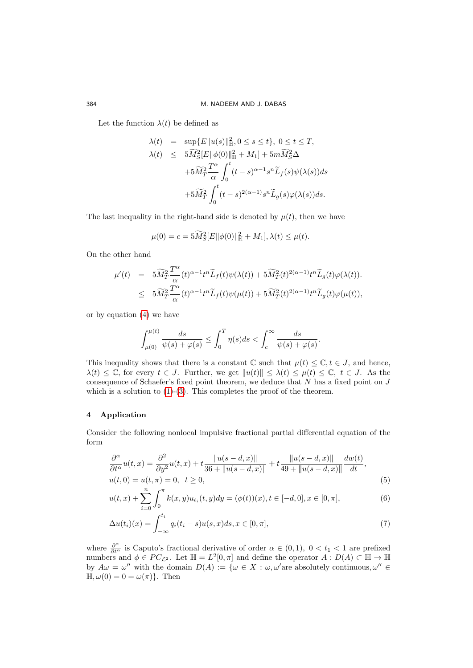Let the function  $\lambda(t)$  be defined as

$$
\begin{array}{rcl} \lambda(t) & = & \sup \{E\|u(s)\|_{\mathbb{H}}^2, 0 \leq s \leq t\}, \ 0 \leq t \leq T, \\[2mm] \lambda(t) & \leq & \displaystyle 5\widetilde{M}_S^2[E\|\phi(0)\|_{\mathbb{H}}^2+M_1]+\dots+\widetilde{M}_S^2\Delta \\[2mm] & & \displaystyle +5\widetilde{M}_T^2\frac{T^\alpha}{\alpha}\int_0^t(t-s)^{\alpha-1}s^n\widetilde{L}_f(s)\psi(\lambda(s))ds \\[2mm] & & \displaystyle +5\widetilde{M}_T^2\int_0^t(t-s)^{2(\alpha-1)}s^n\widetilde{L}_g(s)\varphi(\lambda(s))ds. \end{array}
$$

The last inequality in the right-hand side is denoted by  $\mu(t)$ , then we have

$$
\mu(0) = c = 5\widetilde{M}_{S}^{2}[E||\phi(0)||_{\mathbb{H}}^{2} + M_{1}], \lambda(t) \leq \mu(t).
$$

On the other hand

$$
\begin{array}{lcl} \mu'(t) & = & 5 \widetilde{M}_T^2 \frac{T^\alpha}{\alpha}(t)^{\alpha-1} t^n \widetilde{L}_f(t) \psi(\lambda(t)) + 5 \widetilde{M}_T^2(t)^{2(\alpha-1)} t^n \widetilde{L}_g(t) \varphi(\lambda(t)). \\ \\ & \leq & 5 \widetilde{M}_T^2 \frac{T^\alpha}{\alpha}(t)^{\alpha-1} t^n \widetilde{L}_f(t) \psi(\mu(t)) + 5 \widetilde{M}_T^2(t)^{2(\alpha-1)} t^n \widetilde{L}_g(t) \varphi(\mu(t)), \end{array}
$$

or by equation [\(4\)](#page-5-0) we have

$$
\int_{\mu(0)}^{\mu(t)} \frac{ds}{\psi(s) + \varphi(s)} \le \int_0^T \eta(s)ds < \int_c^\infty \frac{ds}{\psi(s) + \varphi(s)}.
$$

This inequality shows that there is a constant  $\mathbb C$  such that  $\mu(t) \leq \mathbb C, t \in J$ , and hence,  $\lambda(t) \leq \mathbb{C}$ , for every  $t \in J$ . Further, we get  $||u(t)|| \leq \lambda(t) \leq \mu(t) \leq \mathbb{C}$ ,  $t \in J$ . As the consequence of Schaefer's fixed point theorem, we deduce that  $N$  has a fixed point on  $J$ which is a solution to  $(1)-(3)$  $(1)-(3)$ . This completes the proof of the theorem.

# 4 Application

Consider the following nonlocal impulsive fractional partial differential equation of the form

<span id="page-8-0"></span>
$$
\frac{\partial^{\alpha}}{\partial t^{\alpha}}u(t,x) = \frac{\partial^2}{\partial y^2}u(t,x) + t \frac{\|u(s-d,x)\|}{36 + \|u(s-d,x)\|} + t \frac{\|u(s-d,x)\|}{49 + \|u(s-d,x)\|} \frac{dw(t)}{dt},
$$
  
 
$$
u(t,0) = u(t,\pi) = 0, \quad t \ge 0,
$$
 (5)

$$
u(t,x) + \sum_{i=0}^{n} \int_{0}^{\pi} k(x,y)u_{t_i}(t,y)dy = (\phi(t))(x), t \in [-d,0], x \in [0,\pi],
$$
\n(6)

$$
\Delta u(t_i)(x) = \int_{-\infty}^{t_i} q_i(t_i - s)u(s, x)ds, x \in [0, \pi],
$$
\n(7)

where  $\frac{\partial^{\alpha}}{\partial t^{\alpha}}$  is Caputo's fractional derivative of order  $\alpha \in (0,1)$ ,  $0 < t_1 < 1$  are prefixed numbers and  $\phi \in PC_{\mathcal{L}^2}$ . Let  $\mathbb{H} = L^2[0, \pi]$  and define the operator  $A: D(A) \subset \mathbb{H} \to \mathbb{H}$ by  $A\omega = \omega''$  with the domain  $D(A) := \{ \omega \in X : \omega, \omega' \text{are absolutely continuous}, \omega'' \in \Omega \}$  $\mathbb{H}, \omega(0) = 0 = \omega(\pi)$ . Then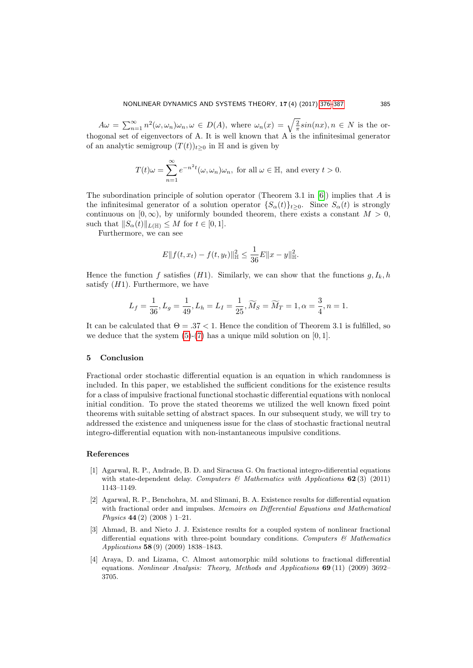$A\omega = \sum_{n=1}^{\infty} n^2(\omega, \omega_n)\omega_n, \omega \in D(A)$ , where  $\omega_n(x) = \sqrt{\frac{2}{\pi}}\sin(nx), n \in N$  is the orthogonal set of eigenvectors of A. It is well known that A is the infinitesimal generator of an analytic semigroup  $(T(t))_{t>0}$  in H and is given by

$$
T(t)\omega = \sum_{n=1}^{\infty} e^{-n^2 t} (\omega, \omega_n) \omega_n
$$
, for all  $\omega \in \mathbb{H}$ , and every  $t > 0$ .

The subordination principle of solution operator (Theorem 3.1 in  $[6]$ ) implies that A is the infinitesimal generator of a solution operator  $\{S_{\alpha}(t)\}_{t>0}$ . Since  $S_{\alpha}(t)$  is strongly continuous on  $[0, \infty)$ , by uniformly bounded theorem, there exists a constant  $M > 0$ , such that  $||S_{\alpha}(t)||_{L(\mathbb{H})} \leq M$  for  $t \in [0, 1].$ 

Furthermore, we can see

$$
E||f(t, x_t) - f(t, y_t)||_{\mathbb{H}}^2 \le \frac{1}{36}E||x - y||_{\mathbb{H}}^2.
$$

Hence the function f satisfies  $(H1)$ . Similarly, we can show that the functions  $g, I_k, h$ satisfy  $(H1)$ . Furthermore, we have

$$
L_f = \frac{1}{36}, L_g = \frac{1}{49}, L_h = L_I = \frac{1}{25}, \widetilde{M}_S = \widetilde{M}_T = 1, \alpha = \frac{3}{4}, n = 1.
$$

It can be calculated that  $\Theta = .37 < 1$ . Hence the condition of Theorem 3.1 is fulfilled, so we deduce that the system  $(5)-(7)$  $(5)-(7)$  has a unique mild solution on  $[0, 1]$ .

#### 5 Conclusion

Fractional order stochastic differential equation is an equation in which randomness is included. In this paper, we established the sufficient conditions for the existence results for a class of impulsive fractional functional stochastic differential equations with nonlocal initial condition. To prove the stated theorems we utilized the well known fixed point theorems with suitable setting of abstract spaces. In our subsequent study, we will try to addressed the existence and uniqueness issue for the class of stochastic fractional neutral integro-differential equation with non-instantaneous impulsive conditions.

### <span id="page-9-0"></span>References

- <span id="page-9-4"></span>[1] Agarwal, R. P., Andrade, B. D. and Siracusa G. On fractional integro-difierential equations with state-dependent delay. Computers & Mathematics with Applications  $62(3)$  (2011) 1143–1149.
- <span id="page-9-3"></span>[2] Agarwal, R. P., Benchohra, M. and Slimani, B. A. Existence results for differential equation with fractional order and impulses. Memoirs on Differential Equations and Mathematical Physics 44 (2) (2008 ) 1–21.
- <span id="page-9-1"></span>[3] Ahmad, B. and Nieto J. J. Existence results for a coupled system of nonlinear fractional differential equations with three-point boundary conditions. Computers  $\mathcal{C}_{\mathcal{C}}$  Mathematics Applications 58 (9) (2009) 1838–1843.
- <span id="page-9-2"></span>[4] Araya, D. and Lizama, C. Almost automorphic mild solutions to fractional differential equations. Nonlinear Analysis: Theory, Methods and Applications 69 (11) (2009) 3692– 3705.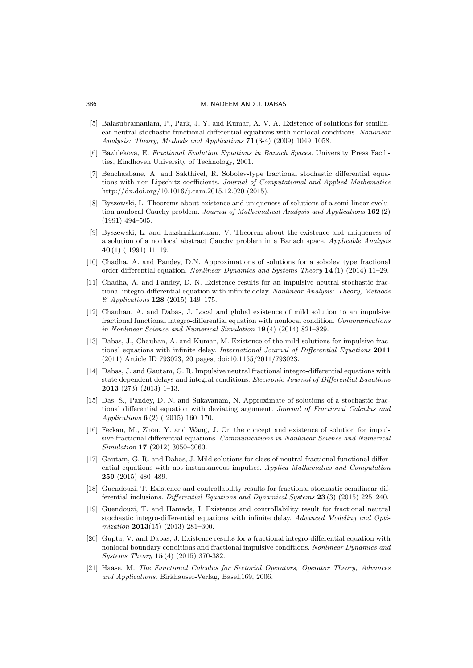- <span id="page-10-0"></span>[5] Balasubramaniam, P., Park, J. Y. and Kumar, A. V. A. Existence of solutions for semilinear neutral stochastic functional differential equations with nonlocal conditions. Nonlinear Analysis: Theory, Methods and Applications 71 (3-4) (2009) 1049–1058.
- <span id="page-10-15"></span>[6] Bazhlekova, E. Fractional Evolution Equations in Banach Spaces. University Press Facilities, Eindhoven University of Technology, 2001.
- <span id="page-10-1"></span>[7] Benchaabane, A. and Sakthivel, R. Sobolev-type fractional stochastic differential equations with non-Lipschitz coefficients. Journal of Computational and Applied Mathematics http://dx.doi.org/10.1016/j.cam.2015.12.020 (2015).
- <span id="page-10-11"></span>[8] Byszewski, L. Theorems about existence and uniqueness of solutions of a semi-linear evolution nonlocal Cauchy problem. Journal of Mathematical Analysis and Applications 162(2) (1991) 494–505.
- <span id="page-10-12"></span>[9] Byszewski, L. and Lakshmikantham, V. Theorem about the existence and uniqueness of a solution of a nonlocal abstract Cauchy problem in a Banach space. Applicable Analysis 40 (1) ( 1991) 11–19.
- <span id="page-10-5"></span>[10] Chadha, A. and Pandey, D.N. Approximations of solutions for a sobolev type fractional order differential equation. Nonlinear Dynamics and Systems Theory 14 (1) (2014) 11–29.
- <span id="page-10-10"></span>[11] Chadha, A. and Pandey, D. N. Existence results for an impulsive neutral stochastic fractional integro-differential equation with infinite delay. Nonlinear Analysis: Theory, Methods & Applications 128 (2015) 149–175.
- <span id="page-10-6"></span>[12] Chauhan, A. and Dabas, J. Local and global existence of mild solution to an impulsive fractional functional integro-differential equation with nonlocal condition. Communications in Nonlinear Science and Numerical Simulation 19 (4) (2014) 821–829.
- [13] Dabas, J., Chauhan, A. and Kumar, M. Existence of the mild solutions for impulsive fractional equations with infinite delay. International Journal of Differential Equations 2011 (2011) Article ID 793023, 20 pages, doi:10.1155/2011/793023.
- <span id="page-10-7"></span>[14] Dabas, J. and Gautam, G. R. Impulsive neutral fractional integro-differential equations with state dependent delays and integral conditions. Electronic Journal of Differential Equations 2013 (273) (2013) 1–13.
- <span id="page-10-4"></span>[15] Das, S., Pandey, D. N. and Sukavanam, N. Approximate of solutions of a stochastic fractional differential equation with deviating argument. Journal of Fractional Calculus and Applications 6 (2) ( 2015) 160–170.
- <span id="page-10-13"></span>[16] Feckan, M., Zhou, Y. and Wang, J. On the concept and existence of solution for impulsive fractional differential equations. Communications in Nonlinear Science and Numerical Simulation 17 (2012) 3050–3060.
- <span id="page-10-8"></span>[17] Gautam, G. R. and Dabas, J. Mild solutions for class of neutral fractional functional differential equations with not instantaneous impulses. Applied Mathematics and Computation 259 (2015) 480–489.
- <span id="page-10-2"></span>[18] Guendouzi, T. Existence and controllability results for fractional stochastic semilinear differential inclusions. Differential Equations and Dynamical Systems 23 (3) (2015) 225–240.
- <span id="page-10-3"></span>[19] Guendouzi, T. and Hamada, I. Existence and controllability result for fractional neutral stochastic integro-differential equations with infinite delay. Advanced Modeling and Optimization 2013(15) (2013) 281–300.
- <span id="page-10-9"></span>[20] Gupta, V. and Dabas, J. Existence results for a fractional integro-differential equation with nonlocal boundary conditions and fractional impulsive conditions. Nonlinear Dynamics and Systems Theory 15 (4) (2015) 370-382.
- <span id="page-10-14"></span>[21] Haase, M. The Functional Calculus for Sectorial Operators, Operator Theory, Advances and Applications. Birkhauser-Verlag, Basel,169, 2006.